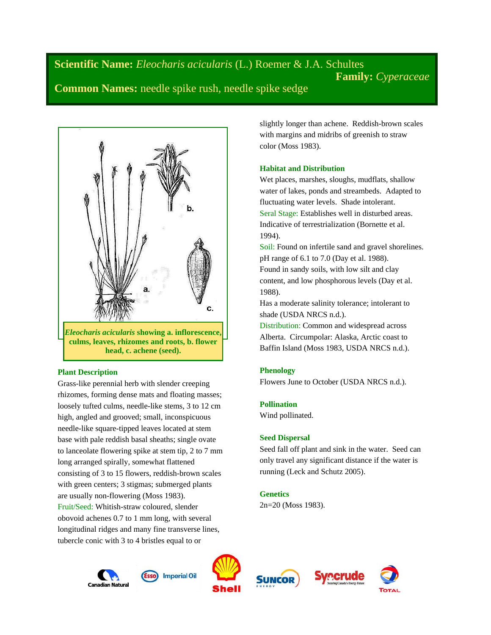# **Scientific Name:** *Eleocharis acicularis* (L.) Roemer & J.A. Schultes **Family:** *Cyperaceae* **Common Names:** needle spike rush, needle spike sedge



## **Plant Description**

Grass-like perennial herb with slender creeping rhizomes, forming dense mats and floating masses; loosely tufted culms, needle-like stems, 3 to 12 cm high, angled and grooved; small, inconspicuous needle-like square-tipped leaves located at stem base with pale reddish basal sheaths; single ovate to lanceolate flowering spike at stem tip, 2 to 7 mm long arranged spirally, somewhat flattened consisting of 3 to 15 flowers, reddish-brown scales with green centers; 3 stigmas; submerged plants are usually non-flowering (Moss 1983). Fruit/Seed: Whitish-straw coloured, slender obovoid achenes 0.7 to 1 mm long, with several longitudinal ridges and many fine transverse lines, tubercle conic with 3 to 4 bristles equal to or

slightly longer than achene. Reddish-brown scales with margins and midribs of greenish to straw color (Moss 1983).

## **Habitat and Distribution**

Wet places, marshes, sloughs, mudflats, shallow water of lakes, ponds and streambeds. Adapted to fluctuating water levels. Shade intolerant. Seral Stage: Establishes well in disturbed areas. Indicative of terrestrialization (Bornette et al. 1994).

Soil: Found on infertile sand and gravel shorelines. pH range of 6.1 to 7.0 (Day et al. 1988). Found in sandy soils, with low silt and clay

content, and low phosphorous levels (Day et al. 1988).

Has a moderate salinity tolerance; intolerant to shade (USDA NRCS n.d.).

Distribution: Common and widespread across Alberta. Circumpolar: Alaska, Arctic coast to Baffin Island (Moss 1983, USDA NRCS n.d.).

#### **Phenology**

Flowers June to October (USDA NRCS n.d.).

#### **Pollination**

Wind pollinated.

#### **Seed Dispersal**

Seed fall off plant and sink in the water. Seed can only travel any significant distance if the water is running (Leck and Schutz 2005).

# **Genetics**

2n=20 (Moss 1983).









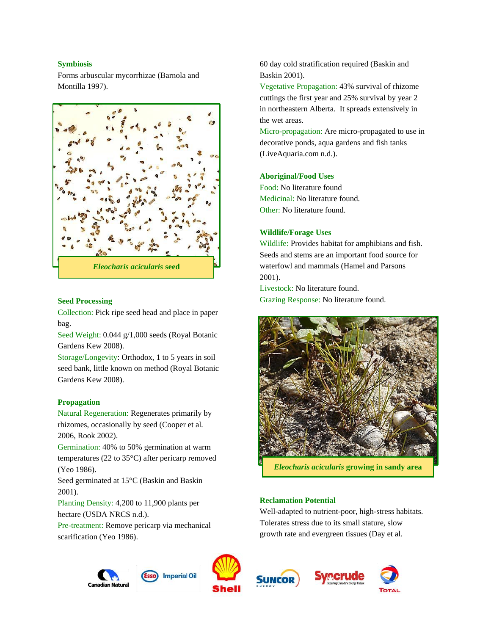# **Symbiosis**

Forms arbuscular mycorrhizae (Barnola and Montilla 1997).



#### **Seed Processing**

Collection: Pick ripe seed head and place in paper bag.

Seed Weight: 0.044 g/1,000 seeds (Royal Botanic Gardens Kew 2008).

Storage/Longevity: Orthodox, 1 to 5 years in soil seed bank, little known on method (Royal Botanic Gardens Kew 2008).

## **Propagation**

Natural Regeneration: Regenerates primarily by rhizomes, occasionally by seed (Cooper et al*.* 2006, Rook 2002).

Germination: 40% to 50% germination at warm temperatures (22 to 35°C) after pericarp removed (Yeo 1986).

Seed germinated at 15°C (Baskin and Baskin 2001).

Planting Density: 4,200 to 11,900 plants per hectare (USDA NRCS n.d.).

Pre-treatment: Remove pericarp via mechanical scarification (Yeo 1986).



Vegetative Propagation: 43% survival of rhizome cuttings the first year and 25% survival by year 2 in northeastern Alberta. It spreads extensively in the wet areas.

Micro-propagation: Are micro-propagated to use in decorative ponds, aqua gardens and fish tanks (LiveAquaria.com n.d.).

# **Aboriginal/Food Uses**

Food: No literature found Medicinal: No literature found. Other: No literature found.

## **Wildlife/Forage Uses**

Wildlife: Provides habitat for amphibians and fish. Seeds and stems are an important food source for waterfowl and mammals (Hamel and Parsons 2001).

Livestock: No literature found. Grazing Response: No literature found.



*Eleocharis acicularis* **growing in sandy area**

## **Reclamation Potential**

Well-adapted to nutrient-poor, high-stress habitats. Tolerates stress due to its small stature, slow growth rate and evergreen tissues (Day et al.







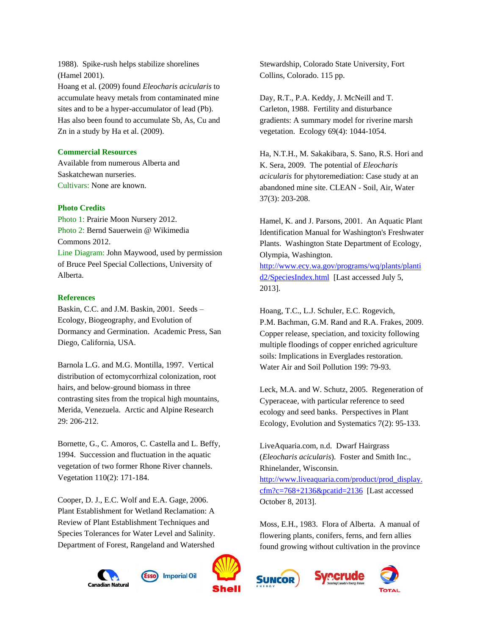1988). Spike-rush helps stabilize shorelines (Hamel 2001).

Hoang et al. (2009) found *Eleocharis acicularis* to accumulate heavy metals from contaminated mine sites and to be a hyper-accumulator of lead (Pb). Has also been found to accumulate Sb, As, Cu and Zn in a study by Ha et al. (2009).

#### **Commercial Resources**

Available from numerous Alberta and Saskatchewan nurseries. Cultivars: None are known.

#### **Photo Credits**

Photo 1: Prairie Moon Nursery 2012. Photo 2: Bernd Sauerwein @ Wikimedia Commons 2012. Line Diagram: John Maywood, used by permission of Bruce Peel Special Collections, University of Alberta.

## **References**

Baskin, C.C. and J.M. Baskin, 2001. Seeds – Ecology, Biogeography, and Evolution of Dormancy and Germination. Academic Press, San Diego, California, USA.

Barnola L.G. and M.G. Montilla, 1997. Vertical distribution of ectomycorrhizal colonization, root hairs, and below-ground biomass in three contrasting sites from the tropical high mountains, Merida, Venezuela. Arctic and Alpine Research 29: 206-212.

Bornette, G., C. Amoros, C. Castella and L. Beffy, 1994. Succession and fluctuation in the aquatic vegetation of two former Rhone River channels. Vegetation 110(2): 171-184.

Cooper, D. J., E.C. Wolf and E.A. Gage, 2006. Plant Establishment for Wetland Reclamation: A Review of Plant Establishment Techniques and Species Tolerances for Water Level and Salinity. Department of Forest, Rangeland and Watershed



Stewardship, Colorado State University, Fort Collins, Colorado. 115 pp.

Day, R.T., P.A. Keddy, J. McNeill and T. Carleton, 1988. Fertility and disturbance gradients: A summary model for riverine marsh vegetation. Ecology 69(4): 1044-1054.

Ha, N.T.H., M. Sakakibara, S. Sano, R.S. Hori and K. Sera, 2009. The potential of *Eleocharis acicularis* for phytoremediation: Case study at an abandoned mine site. CLEAN - Soil, Air, Water 37(3): 203-208.

Hamel, K. and J. Parsons, 2001. An Aquatic Plant Identification Manual for Washington's Freshwater Plants. Washington State Department of Ecology, Olympia, Washington.

[http://www.ecy.wa.gov/programs/wq/plants/planti](http://www.ecy.wa.gov/programs/wq/plants/plantid2/SpeciesIndex.html) d<sub>2</sub>/SpeciesIndex.html [Last accessed July 5, 2013].

Hoang, T.C., L.J. Schuler, E.C. Rogevich, P.M. Bachman, G.M. Rand and R.A. Frakes, 2009. Copper release, speciation, and toxicity following multiple floodings of copper enriched agriculture soils: Implications in Everglades restoration. Water Air and Soil Pollution 199: 79-93.

Leck, M.A. and W. Schutz, 2005. Regeneration of Cyperaceae, with particular reference to seed ecology and seed banks. Perspectives in Plant Ecology, Evolution and Systematics 7(2): 95-133.

LiveAquaria.com, n.d. Dwarf Hairgrass (*Eleocharis acicularis*). Foster and Smith Inc., Rhinelander, Wisconsin.

[http://www.liveaquaria.com/product/prod\\_display.](http://www.liveaquaria.com/product/prod_display.cfm?c=768+2136&pcatid=2136) [cfm?c=768+2136&pcatid=2136](http://www.liveaquaria.com/product/prod_display.cfm?c=768+2136&pcatid=2136) [Last accessed October 8, 2013].

Moss, E.H., 1983. Flora of Alberta. A manual of flowering plants, conifers, ferns, and fern allies found growing without cultivation in the province